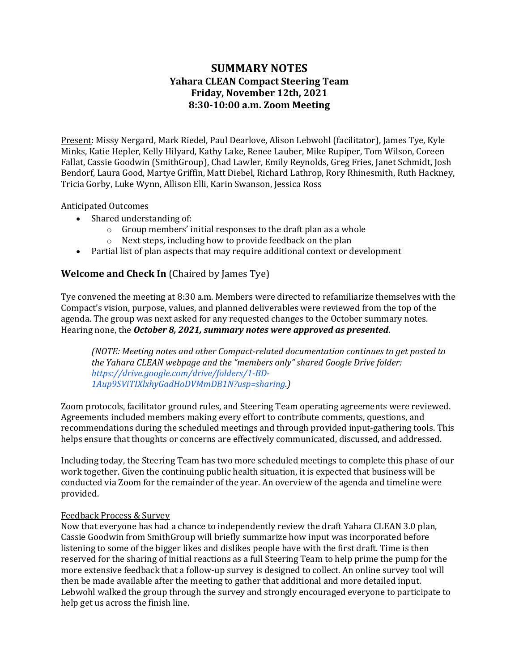## **SUMMARY NOTES Yahara CLEAN Compact Steering Team Friday, November 12th, 2021 8:30-10:00 a.m. Zoom Meeting**

Present: Missy Nergard, Mark Riedel, Paul Dearlove, Alison Lebwohl (facilitator), James Tye, Kyle Minks, Katie Hepler, Kelly Hilyard, Kathy Lake, Renee Lauber, Mike Rupiper, Tom Wilson, Coreen Fallat, Cassie Goodwin (SmithGroup), Chad Lawler, Emily Reynolds, Greg Fries, Janet Schmidt, Josh Bendorf, Laura Good, Martye Griffin, Matt Diebel, Richard Lathrop, Rory Rhinesmith, Ruth Hackney, Tricia Gorby, Luke Wynn, Allison Elli, Karin Swanson, Jessica Ross

#### Anticipated Outcomes

- Shared understanding of:
	- $\circ$  Group members' initial responses to the draft plan as a whole
	- $\circ$  Next steps, including how to provide feedback on the plan
- Partial list of plan aspects that may require additional context or development

## **Welcome and Check In** (Chaired by James Tye)

Tye convened the meeting at 8:30 a.m. Members were directed to refamiliarize themselves with the Compact's vision, purpose, values, and planned deliverables were reviewed from the top of the agenda. The group was next asked for any requested changes to the October summary notes. Hearing none, the *October 8, 2021, summary notes were approved as presented*.

*(NOTE: Meeting notes and other Compact-related documentation continues to get posted to*  the Yahara CLEAN webpage and the "members only" shared Google Drive folder: *https://drive.google.com/drive/folders/1-BD-1Aup9SViTIXlxhyGadHoDVMmDB1N?usp=sharing.)*

Zoom protocols, facilitator ground rules, and Steering Team operating agreements were reviewed. Agreements included members making every effort to contribute comments, questions, and recommendations during the scheduled meetings and through provided input-gathering tools. This helps ensure that thoughts or concerns are effectively communicated, discussed, and addressed.

Including today, the Steering Team has two more scheduled meetings to complete this phase of our work together. Given the continuing public health situation, it is expected that business will be conducted via Zoom for the remainder of the year. An overview of the agenda and timeline were provided. 

## Feedback Process & Survey

Now that everyone has had a chance to independently review the draft Yahara CLEAN 3.0 plan, Cassie Goodwin from SmithGroup will briefly summarize how input was incorporated before listening to some of the bigger likes and dislikes people have with the first draft. Time is then reserved for the sharing of initial reactions as a full Steering Team to help prime the pump for the more extensive feedback that a follow-up survey is designed to collect. An online survey tool will then be made available after the meeting to gather that additional and more detailed input. Lebwohl walked the group through the survey and strongly encouraged everyone to participate to help get us across the finish line.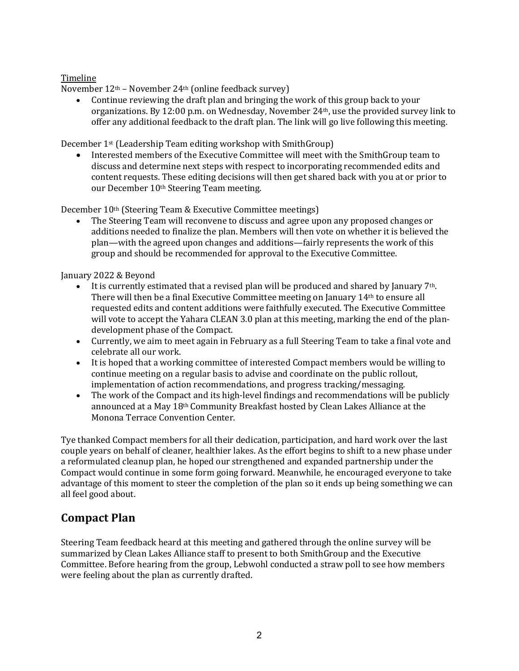## Timeline

November  $12<sup>th</sup>$  – November  $24<sup>th</sup>$  (online feedback survey)

• Continue reviewing the draft plan and bringing the work of this group back to your organizations. By 12:00 p.m. on Wednesday, November  $24th$ , use the provided survey link to offer any additional feedback to the draft plan. The link will go live following this meeting.

December 1<sup>st</sup> (Leadership Team editing workshop with SmithGroup)

Interested members of the Executive Committee will meet with the SmithGroup team to discuss and determine next steps with respect to incorporating recommended edits and content requests. These editing decisions will then get shared back with you at or prior to our December 10<sup>th</sup> Steering Team meeting.

December 10<sup>th</sup> (Steering Team & Executive Committee meetings)

The Steering Team will reconvene to discuss and agree upon any proposed changes or additions needed to finalize the plan. Members will then vote on whether it is believed the plan—with the agreed upon changes and additions—fairly represents the work of this group and should be recommended for approval to the Executive Committee.

January 2022 & Beyond

- It is currently estimated that a revised plan will be produced and shared by January  $7<sup>th</sup>$ . There will then be a final Executive Committee meeting on January  $14<sup>th</sup>$  to ensure all requested edits and content additions were faithfully executed. The Executive Committee will vote to accept the Yahara CLEAN 3.0 plan at this meeting, marking the end of the plandevelopment phase of the Compact.
- Currently, we aim to meet again in February as a full Steering Team to take a final vote and celebrate all our work.
- It is hoped that a working committee of interested Compact members would be willing to continue meeting on a regular basis to advise and coordinate on the public rollout, implementation of action recommendations, and progress tracking/messaging.
- The work of the Compact and its high-level findings and recommendations will be publicly announced at a May  $18<sup>th</sup>$  Community Breakfast hosted by Clean Lakes Alliance at the Monona Terrace Convention Center.

Tye thanked Compact members for all their dedication, participation, and hard work over the last couple years on behalf of cleaner, healthier lakes. As the effort begins to shift to a new phase under a reformulated cleanup plan, he hoped our strengthened and expanded partnership under the Compact would continue in some form going forward. Meanwhile, he encouraged everyone to take advantage of this moment to steer the completion of the plan so it ends up being something we can all feel good about.

## **Compact Plan**

Steering Team feedback heard at this meeting and gathered through the online survey will be summarized by Clean Lakes Alliance staff to present to both SmithGroup and the Executive Committee. Before hearing from the group, Lebwohl conducted a straw poll to see how members were feeling about the plan as currently drafted.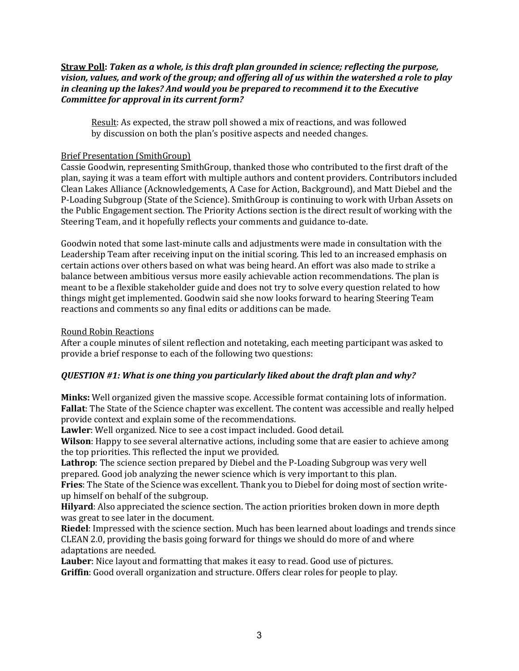#### **Straw Poll:** Taken as a whole, is this draft plan grounded in science; reflecting the purpose, *vision,* values, and work of the group; and offering all of us within the watershed a role to play *in cleaning up the lakes? And would you be prepared to recommend it to the Executive Committee for approval in its current form?*

Result: As expected, the straw poll showed a mix of reactions, and was followed by discussion on both the plan's positive aspects and needed changes.

## **Brief Presentation (SmithGroup)**

Cassie Goodwin, representing SmithGroup, thanked those who contributed to the first draft of the plan, saying it was a team effort with multiple authors and content providers. Contributors included Clean Lakes Alliance (Acknowledgements, A Case for Action, Background), and Matt Diebel and the P-Loading Subgroup (State of the Science). SmithGroup is continuing to work with Urban Assets on the Public Engagement section. The Priority Actions section is the direct result of working with the Steering Team, and it hopefully reflects your comments and guidance to-date.

Goodwin noted that some last-minute calls and adjustments were made in consultation with the Leadership Team after receiving input on the initial scoring. This led to an increased emphasis on certain actions over others based on what was being heard. An effort was also made to strike a balance between ambitious versus more easily achievable action recommendations. The plan is meant to be a flexible stakeholder guide and does not try to solve every question related to how things might get implemented. Goodwin said she now looks forward to hearing Steering Team reactions and comments so any final edits or additions can be made.

## Round Robin Reactions

After a couple minutes of silent reflection and notetaking, each meeting participant was asked to provide a brief response to each of the following two questions:

## *QUESTION* #1: What is one thing you particularly liked about the draft plan and why?

**Minks:** Well organized given the massive scope. Accessible format containing lots of information. **Fallat**: The State of the Science chapter was excellent. The content was accessible and really helped provide context and explain some of the recommendations.

Lawler: Well organized. Nice to see a cost impact included. Good detail.

**Wilson**: Happy to see several alternative actions, including some that are easier to achieve among the top priorities. This reflected the input we provided.

**Lathrop**: The science section prepared by Diebel and the P-Loading Subgroup was very well prepared. Good job analyzing the newer science which is very important to this plan.

Fries: The State of the Science was excellent. Thank you to Diebel for doing most of section writeup himself on behalf of the subgroup.

**Hilyard**: Also appreciated the science section. The action priorities broken down in more depth was great to see later in the document.

**Riedel**: Impressed with the science section. Much has been learned about loadings and trends since CLEAN 2.0, providing the basis going forward for things we should do more of and where adaptations are needed.

**Lauber**: Nice layout and formatting that makes it easy to read. Good use of pictures. **Griffin**: Good overall organization and structure. Offers clear roles for people to play.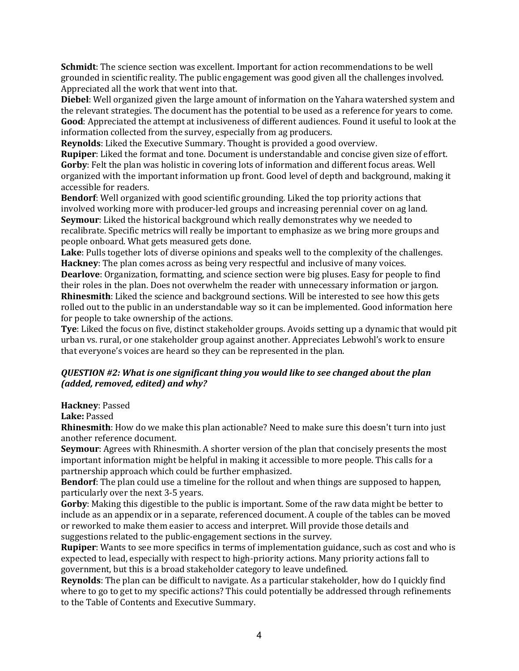**Schmidt**: The science section was excellent. Important for action recommendations to be well grounded in scientific reality. The public engagement was good given all the challenges involved. Appreciated all the work that went into that.

**Diebel**: Well organized given the large amount of information on the Yahara watershed system and the relevant strategies. The document has the potential to be used as a reference for years to come. Good: Appreciated the attempt at inclusiveness of different audiences. Found it useful to look at the information collected from the survey, especially from ag producers.

**Reynolds**: Liked the Executive Summary. Thought is provided a good overview.

**Rupiper**: Liked the format and tone. Document is understandable and concise given size of effort. **Gorby**: Felt the plan was holistic in covering lots of information and different focus areas. Well organized with the important information up front. Good level of depth and background, making it accessible for readers.

**Bendorf**: Well organized with good scientific grounding. Liked the top priority actions that involved working more with producer-led groups and increasing perennial cover on ag land. **Seymour**: Liked the historical background which really demonstrates why we needed to recalibrate. Specific metrics will really be important to emphasize as we bring more groups and people onboard. What gets measured gets done.

**Lake**: Pulls together lots of diverse opinions and speaks well to the complexity of the challenges. **Hackney**: The plan comes across as being very respectful and inclusive of many voices.

**Dearlove**: Organization, formatting, and science section were big pluses. Easy for people to find their roles in the plan. Does not overwhelm the reader with unnecessary information or jargon. **Rhinesmith**: Liked the science and background sections. Will be interested to see how this gets rolled out to the public in an understandable way so it can be implemented. Good information here for people to take ownership of the actions.

**Tye**: Liked the focus on five, distinct stakeholder groups. Avoids setting up a dynamic that would pit urban vs. rural, or one stakeholder group against another. Appreciates Lebwohl's work to ensure that everyone's voices are heard so they can be represented in the plan.

## *QUESTION #2: What is one significant thing you would like to see changed about the plan (added, removed, edited) and why?*

**Hackney: Passed** 

**Lake:** Passed

**Rhinesmith**: How do we make this plan actionable? Need to make sure this doesn't turn into just another reference document.

**Seymour**: Agrees with Rhinesmith. A shorter version of the plan that concisely presents the most important information might be helpful in making it accessible to more people. This calls for a partnership approach which could be further emphasized.

**Bendorf**: The plan could use a timeline for the rollout and when things are supposed to happen, particularly over the next 3-5 years.

**Gorby**: Making this digestible to the public is important. Some of the raw data might be better to include as an appendix or in a separate, referenced document. A couple of the tables can be moved or reworked to make them easier to access and interpret. Will provide those details and suggestions related to the public-engagement sections in the survey.

**Rupiper**: Wants to see more specifics in terms of implementation guidance, such as cost and who is expected to lead, especially with respect to high-priority actions. Many priority actions fall to government, but this is a broad stakeholder category to leave undefined.

**Reynolds**: The plan can be difficult to navigate. As a particular stakeholder, how do I quickly find where to go to get to my specific actions? This could potentially be addressed through refinements to the Table of Contents and Executive Summary.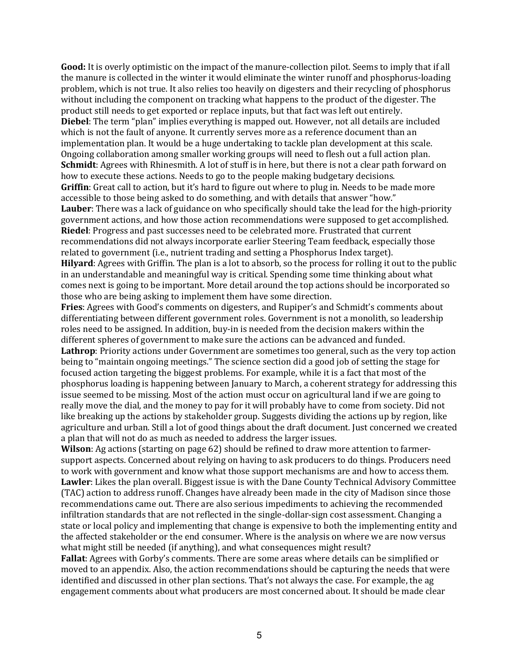Good: It is overly optimistic on the impact of the manure-collection pilot. Seems to imply that if all the manure is collected in the winter it would eliminate the winter runoff and phosphorus-loading problem, which is not true. It also relies too heavily on digesters and their recycling of phosphorus without including the component on tracking what happens to the product of the digester. The product still needs to get exported or replace inputs, but that fact was left out entirely. **Diebel**: The term "plan" implies everything is mapped out. However, not all details are included which is not the fault of anyone. It currently serves more as a reference document than an implementation plan. It would be a huge undertaking to tackle plan development at this scale. Ongoing collaboration among smaller working groups will need to flesh out a full action plan. **Schmidt**: Agrees with Rhinesmith. A lot of stuff is in here, but there is not a clear path forward on how to execute these actions. Needs to go to the people making budgetary decisions. **Griffin**: Great call to action, but it's hard to figure out where to plug in. Needs to be made more accessible to those being asked to do something, and with details that answer "how." **Lauber**: There was a lack of guidance on who specifically should take the lead for the high-priority government actions, and how those action recommendations were supposed to get accomplished. **Riedel**: Progress and past successes need to be celebrated more. Frustrated that current recommendations did not always incorporate earlier Steering Team feedback, especially those related to government (i.e., nutrient trading and setting a Phosphorus Index target). **Hilyard**: Agrees with Griffin. The plan is a lot to absorb, so the process for rolling it out to the public in an understandable and meaningful way is critical. Spending some time thinking about what

comes next is going to be important. More detail around the top actions should be incorporated so those who are being asking to implement them have some direction.

Fries: Agrees with Good's comments on digesters, and Rupiper's and Schmidt's comments about differentiating between different government roles. Government is not a monolith, so leadership roles need to be assigned. In addition, buy-in is needed from the decision makers within the different spheres of government to make sure the actions can be advanced and funded. **Lathrop**: Priority actions under Government are sometimes too general, such as the very top action being to "maintain ongoing meetings." The science section did a good job of setting the stage for focused action targeting the biggest problems. For example, while it is a fact that most of the phosphorus loading is happening between January to March, a coherent strategy for addressing this issue seemed to be missing. Most of the action must occur on agricultural land if we are going to really move the dial, and the money to pay for it will probably have to come from society. Did not like breaking up the actions by stakeholder group. Suggests dividing the actions up by region, like agriculture and urban. Still a lot of good things about the draft document. Just concerned we created a plan that will not do as much as needed to address the larger issues.

**Wilson**: Ag actions (starting on page 62) should be refined to draw more attention to farmersupport aspects. Concerned about relying on having to ask producers to do things. Producers need to work with government and know what those support mechanisms are and how to access them. **Lawler**: Likes the plan overall. Biggest issue is with the Dane County Technical Advisory Committee (TAC) action to address runoff. Changes have already been made in the city of Madison since those recommendations came out. There are also serious impediments to achieving the recommended infiltration standards that are not reflected in the single-dollar-sign cost assessment. Changing a state or local policy and implementing that change is expensive to both the implementing entity and the affected stakeholder or the end consumer. Where is the analysis on where we are now versus what might still be needed (if anything), and what consequences might result?

**Fallat**: Agrees with Gorby's comments. There are some areas where details can be simplified or moved to an appendix. Also, the action recommendations should be capturing the needs that were identified and discussed in other plan sections. That's not always the case. For example, the ag engagement comments about what producers are most concerned about. It should be made clear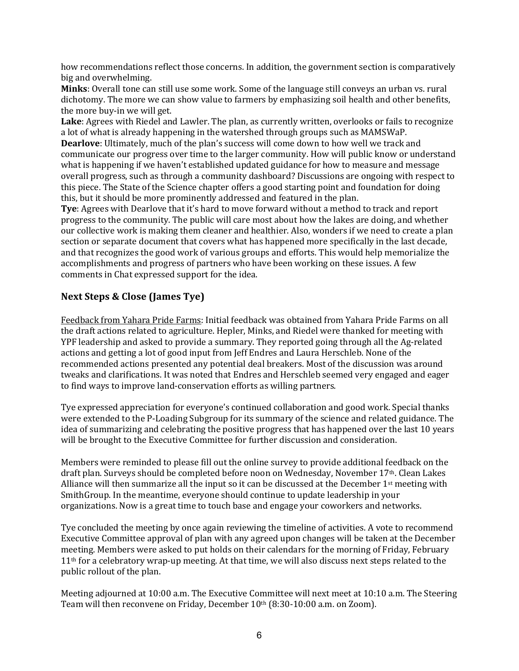how recommendations reflect those concerns. In addition, the government section is comparatively big and overwhelming.

**Minks**: Overall tone can still use some work. Some of the language still conveys an urban vs. rural dichotomy. The more we can show value to farmers by emphasizing soil health and other benefits, the more buy-in we will get.

Lake: Agrees with Riedel and Lawler. The plan, as currently written, overlooks or fails to recognize a lot of what is already happening in the watershed through groups such as MAMSWaP.

**Dearlove**: Ultimately, much of the plan's success will come down to how well we track and communicate our progress over time to the larger community. How will public know or understand what is happening if we haven't established updated guidance for how to measure and message overall progress, such as through a community dashboard? Discussions are ongoing with respect to this piece. The State of the Science chapter offers a good starting point and foundation for doing this, but it should be more prominently addressed and featured in the plan.

**Tye:** Agrees with Dearlove that it's hard to move forward without a method to track and report progress to the community. The public will care most about how the lakes are doing, and whether our collective work is making them cleaner and healthier. Also, wonders if we need to create a plan section or separate document that covers what has happened more specifically in the last decade, and that recognizes the good work of various groups and efforts. This would help memorialize the accomplishments and progress of partners who have been working on these issues. A few comments in Chat expressed support for the idea.

## **Next Steps & Close (James Tye)**

Feedback from Yahara Pride Farms: Initial feedback was obtained from Yahara Pride Farms on all the draft actions related to agriculture. Hepler, Minks, and Riedel were thanked for meeting with YPF leadership and asked to provide a summary. They reported going through all the Ag-related actions and getting a lot of good input from Jeff Endres and Laura Herschleb. None of the recommended actions presented any potential deal breakers. Most of the discussion was around tweaks and clarifications. It was noted that Endres and Herschleb seemed very engaged and eager to find ways to improve land-conservation efforts as willing partners.

Tye expressed appreciation for everyone's continued collaboration and good work. Special thanks were extended to the P-Loading Subgroup for its summary of the science and related guidance. The idea of summarizing and celebrating the positive progress that has happened over the last 10 years will be brought to the Executive Committee for further discussion and consideration.

Members were reminded to please fill out the online survey to provide additional feedback on the draft plan. Surveys should be completed before noon on Wednesday, November 17<sup>th</sup>. Clean Lakes Alliance will then summarize all the input so it can be discussed at the December  $1<sup>st</sup>$  meeting with SmithGroup. In the meantime, everyone should continue to update leadership in your organizations. Now is a great time to touch base and engage your coworkers and networks.

Tye concluded the meeting by once again reviewing the timeline of activities. A vote to recommend Executive Committee approval of plan with any agreed upon changes will be taken at the December meeting. Members were asked to put holds on their calendars for the morning of Friday, February  $11<sup>th</sup>$  for a celebratory wrap-up meeting. At that time, we will also discuss next steps related to the public rollout of the plan.

Meeting adjourned at 10:00 a.m. The Executive Committee will next meet at 10:10 a.m. The Steering Team will then reconvene on Friday, December 10<sup>th</sup> (8:30-10:00 a.m. on Zoom).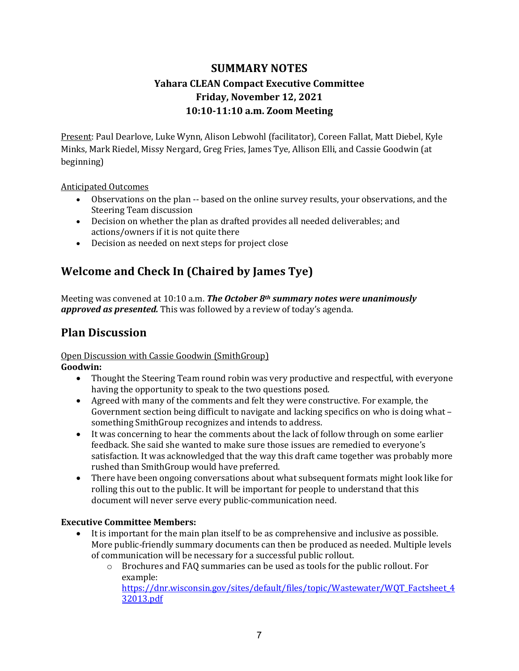# **SUMMARY NOTES Yahara CLEAN Compact Executive Committee Friday, November 12, 2021 10:10-11:10 a.m. Zoom Meeting**

Present: Paul Dearlove, Luke Wynn, Alison Lebwohl (facilitator), Coreen Fallat, Matt Diebel, Kyle Minks, Mark Riedel, Missy Nergard, Greg Fries, James Tye, Allison Elli, and Cassie Goodwin (at beginning)

## Anticipated Outcomes

- Observations on the plan -- based on the online survey results, your observations, and the Steering Team discussion
- Decision on whether the plan as drafted provides all needed deliverables; and actions/owners if it is not quite there
- Decision as needed on next steps for project close

# **Welcome and Check In (Chaired by James Tye)**

Meeting was convened at 10:10 a.m. The October 8<sup>th</sup> summary notes were unanimously approved as presented. This was followed by a review of today's agenda.

# **Plan Discussion**

#### Open Discussion with Cassie Goodwin (SmithGroup) **Goodwin:**

- Thought the Steering Team round robin was very productive and respectful, with everyone having the opportunity to speak to the two questions posed.
- Agreed with many of the comments and felt they were constructive. For example, the Government section being difficult to navigate and lacking specifics on who is doing what  $$ something SmithGroup recognizes and intends to address.
- It was concerning to hear the comments about the lack of follow through on some earlier feedback. She said she wanted to make sure those issues are remedied to everyone's satisfaction. It was acknowledged that the way this draft came together was probably more rushed than SmithGroup would have preferred.
- There have been ongoing conversations about what subsequent formats might look like for rolling this out to the public. It will be important for people to understand that this document will never serve every public-communication need.

## **Executive Committee Members:**

- It is important for the main plan itself to be as comprehensive and inclusive as possible. More public-friendly summary documents can then be produced as needed. Multiple levels of communication will be necessary for a successful public rollout.
	- $\circ$  Brochures and FAQ summaries can be used as tools for the public rollout. For example:

https://dnr.wisconsin.gov/sites/default/files/topic/Wastewater/WQT\_Factsheet\_4 32013.pdf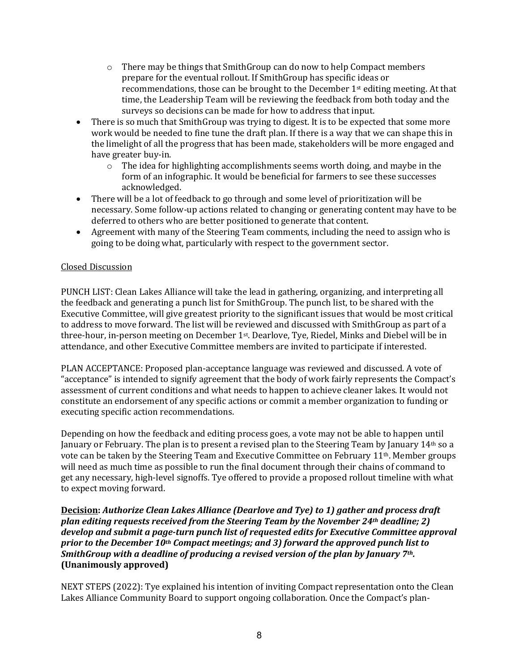- $\circ$  There may be things that SmithGroup can do now to help Compact members prepare for the eventual rollout. If SmithGroup has specific ideas or recommendations, those can be brought to the December 1<sup>st</sup> editing meeting. At that time, the Leadership Team will be reviewing the feedback from both today and the surveys so decisions can be made for how to address that input.
- There is so much that SmithGroup was trying to digest. It is to be expected that some more work would be needed to fine tune the draft plan. If there is a way that we can shape this in the limelight of all the progress that has been made, stakeholders will be more engaged and have greater buy-in.
	- $\circ$  The idea for highlighting accomplishments seems worth doing, and maybe in the form of an infographic. It would be beneficial for farmers to see these successes acknowledged.
- There will be a lot of feedback to go through and some level of prioritization will be necessary. Some follow-up actions related to changing or generating content may have to be deferred to others who are better positioned to generate that content.
- Agreement with many of the Steering Team comments, including the need to assign who is going to be doing what, particularly with respect to the government sector.

## Closed Discussion

PUNCH LIST: Clean Lakes Alliance will take the lead in gathering, organizing, and interpreting all the feedback and generating a punch list for SmithGroup. The punch list, to be shared with the Executive Committee, will give greatest priority to the significant issues that would be most critical to address to move forward. The list will be reviewed and discussed with SmithGroup as part of a three-hour, in-person meeting on December 1<sup>st</sup>. Dearlove, Tye, Riedel, Minks and Diebel will be in attendance, and other Executive Committee members are invited to participate if interested.

PLAN ACCEPTANCE: Proposed plan-acceptance language was reviewed and discussed. A vote of "acceptance" is intended to signify agreement that the body of work fairly represents the Compact's assessment of current conditions and what needs to happen to achieve cleaner lakes. It would not constitute an endorsement of any specific actions or commit a member organization to funding or executing specific action recommendations.

Depending on how the feedback and editing process goes, a vote may not be able to happen until January or February. The plan is to present a revised plan to the Steering Team by January 14<sup>th</sup> so a vote can be taken by the Steering Team and Executive Committee on February  $11<sup>th</sup>$ . Member groups will need as much time as possible to run the final document through their chains of command to get any necessary, high-level signoffs. Tye offered to provide a proposed rollout timeline with what to expect moving forward.

## **Decision:** Authorize Clean Lakes Alliance (Dearlove and Tye) to 1) gather and process draft *plan editing requests received from the Steering Team by the November 24<sup>th</sup> deadline; 2)* develop and submit a page-turn punch list of requested edits for Executive Committee approval *prior to the December 10<sup>th</sup> Compact meetings; and 3) forward the approved punch list to SmithGroup* with a deadline of producing a revised version of the plan by January 7<sup>th</sup>. **(Unanimously approved)**

NEXT STEPS (2022): Tye explained his intention of inviting Compact representation onto the Clean Lakes Alliance Community Board to support ongoing collaboration. Once the Compact's plan